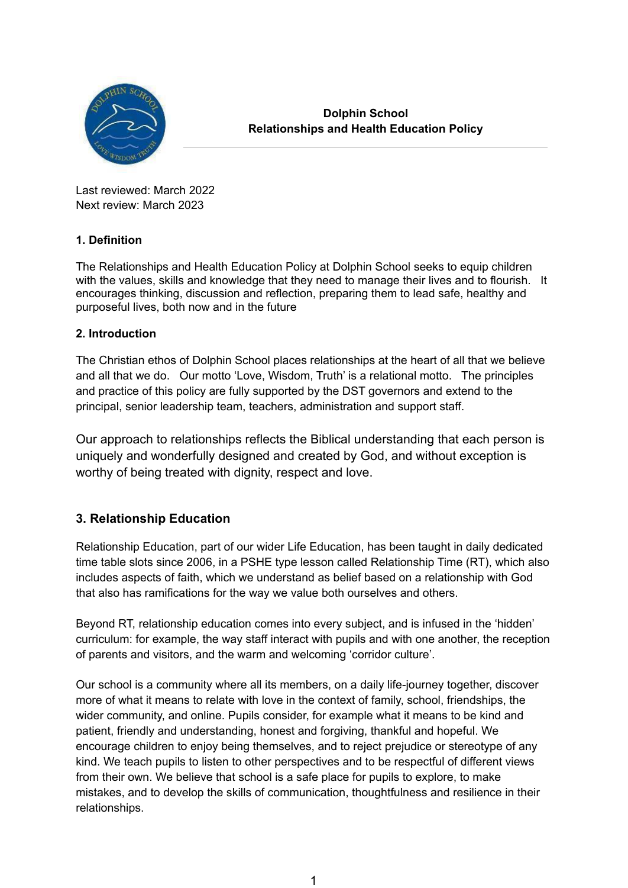

**Dolphin School Relationships and Health Education Policy**

Last reviewed: March 2022 Next review: March 2023

## **1. Definition**

The Relationships and Health Education Policy at Dolphin School seeks to equip children with the values, skills and knowledge that they need to manage their lives and to flourish. It encourages thinking, discussion and reflection, preparing them to lead safe, healthy and purposeful lives, both now and in the future

## **2. Introduction**

The Christian ethos of Dolphin School places relationships at the heart of all that we believe and all that we do. Our motto 'Love, Wisdom, Truth' is a relational motto. The principles and practice of this policy are fully supported by the DST governors and extend to the principal, senior leadership team, teachers, administration and support staff.

Our approach to relationships reflects the Biblical understanding that each person is uniquely and wonderfully designed and created by God, and without exception is worthy of being treated with dignity, respect and love.

# **3. Relationship Education**

Relationship Education, part of our wider Life Education, has been taught in daily dedicated time table slots since 2006, in a PSHE type lesson called Relationship Time (RT), which also includes aspects of faith, which we understand as belief based on a relationship with God that also has ramifications for the way we value both ourselves and others.

Beyond RT, relationship education comes into every subject, and is infused in the 'hidden' curriculum: for example, the way staff interact with pupils and with one another, the reception of parents and visitors, and the warm and welcoming 'corridor culture'.

Our school is a community where all its members, on a daily life-journey together, discover more of what it means to relate with love in the context of family, school, friendships, the wider community, and online. Pupils consider, for example what it means to be kind and patient, friendly and understanding, honest and forgiving, thankful and hopeful. We encourage children to enjoy being themselves, and to reject prejudice or stereotype of any kind. We teach pupils to listen to other perspectives and to be respectful of different views from their own. We believe that school is a safe place for pupils to explore, to make mistakes, and to develop the skills of communication, thoughtfulness and resilience in their relationships.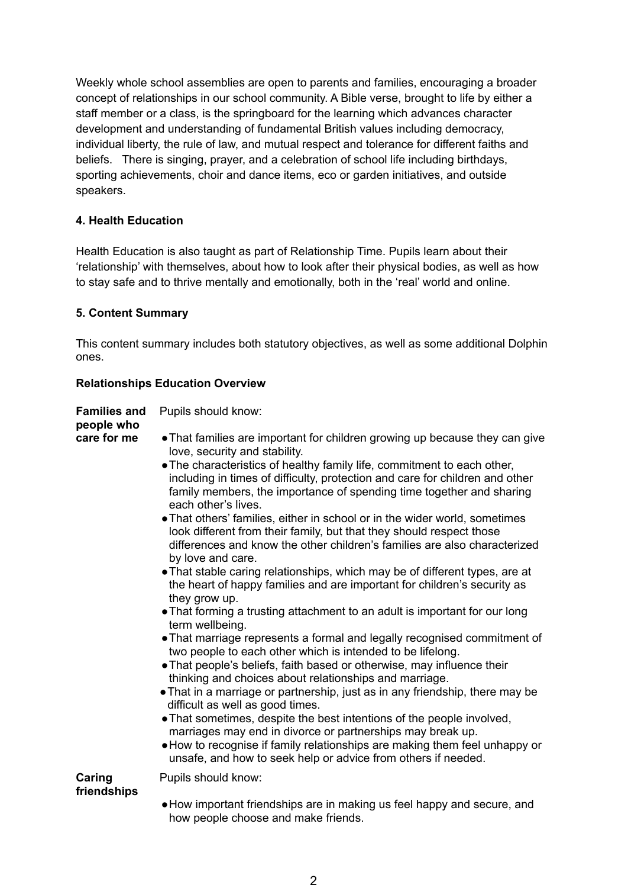Weekly whole school assemblies are open to parents and families, encouraging a broader concept of relationships in our school community. A Bible verse, brought to life by either a staff member or a class, is the springboard for the learning which advances character development and understanding of fundamental British values including democracy, individual liberty, the rule of law, and mutual respect and tolerance for different faiths and beliefs. There is singing, prayer, and a celebration of school life including birthdays, sporting achievements, choir and dance items, eco or garden initiatives, and outside speakers.

## **4. Health Education**

Health Education is also taught as part of Relationship Time. Pupils learn about their 'relationship' with themselves, about how to look after their physical bodies, as well as how to stay safe and to thrive mentally and emotionally, both in the 'real' world and online.

## **5. Content Summary**

This content summary includes both statutory objectives, as well as some additional Dolphin ones.

### **Relationships Education Overview**

| <b>Families and</b><br>people who | Pupils should know:                                                                                                                                                                                                                                                                |
|-----------------------------------|------------------------------------------------------------------------------------------------------------------------------------------------------------------------------------------------------------------------------------------------------------------------------------|
| care for me                       | • That families are important for children growing up because they can give<br>love, security and stability.                                                                                                                                                                       |
|                                   | . The characteristics of healthy family life, commitment to each other,<br>including in times of difficulty, protection and care for children and other<br>family members, the importance of spending time together and sharing<br>each other's lives.                             |
|                                   | • That others' families, either in school or in the wider world, sometimes<br>look different from their family, but that they should respect those<br>differences and know the other children's families are also characterized<br>by love and care.                               |
|                                   | • That stable caring relationships, which may be of different types, are at<br>the heart of happy families and are important for children's security as<br>they grow up.                                                                                                           |
|                                   | • That forming a trusting attachment to an adult is important for our long<br>term wellbeing.                                                                                                                                                                                      |
|                                   | • That marriage represents a formal and legally recognised commitment of<br>two people to each other which is intended to be lifelong.                                                                                                                                             |
|                                   | • That people's beliefs, faith based or otherwise, may influence their<br>thinking and choices about relationships and marriage.                                                                                                                                                   |
|                                   | • That in a marriage or partnership, just as in any friendship, there may be<br>difficult as well as good times.                                                                                                                                                                   |
|                                   | . That sometimes, despite the best intentions of the people involved,<br>marriages may end in divorce or partnerships may break up.<br>• How to recognise if family relationships are making them feel unhappy or<br>unsafe, and how to seek help or advice from others if needed. |
| Caring<br>friendships             | Pupils should know:                                                                                                                                                                                                                                                                |
|                                   | A How important friendships are in making us feel happy and secure and                                                                                                                                                                                                             |

 $\blacktriangleright$ How important friendships are in making us teel happy and secure, and how people choose and make friends.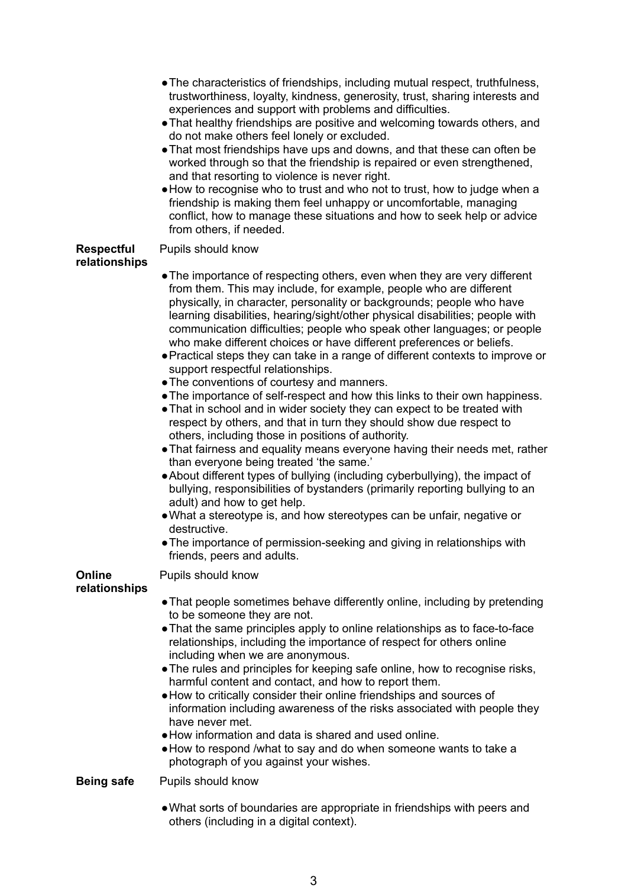- ●The characteristics of friendships, including mutual respect, truthfulness, trustworthiness, loyalty, kindness, generosity, trust, sharing interests and experiences and support with problems and difficulties.
- ●That healthy friendships are positive and welcoming towards others, and do not make others feel lonely or excluded.
- ●That most friendships have ups and downs, and that these can often be worked through so that the friendship is repaired or even strengthened, and that resorting to violence is never right.
- ●How to recognise who to trust and who not to trust, how to judge when a friendship is making them feel unhappy or uncomfortable, managing conflict, how to manage these situations and how to seek help or advice from others, if needed.

#### **Respectful relationships** Pupils should know

- The importance of respecting others, even when they are very different from them. This may include, for example, people who are different physically, in character, personality or backgrounds; people who have learning disabilities, hearing/sight/other physical disabilities; people with communication difficulties; people who speak other languages; or people who make different choices or have different preferences or beliefs.
- ●Practical steps they can take in a range of different contexts to improve or support respectful relationships.
- The conventions of courtesy and manners.
- ●The importance of self-respect and how this links to their own happiness.
- That in school and in wider society they can expect to be treated with respect by others, and that in turn they should show due respect to others, including those in positions of authority.
- That fairness and equality means everyone having their needs met, rather than everyone being treated 'the same.'
- About different types of bullying (including cyberbullying), the impact of bullying, responsibilities of bystanders (primarily reporting bullying to an adult) and how to get help.
- ●What a stereotype is, and how stereotypes can be unfair, negative or destructive.
- The importance of permission-seeking and giving in relationships with friends, peers and adults.

**Online relationships** Pupils should know

- ●That people sometimes behave differently online, including by pretending to be someone they are not.
- ●That the same principles apply to online relationships as to face-to-face relationships, including the importance of respect for others online including when we are anonymous.
- The rules and principles for keeping safe online, how to recognise risks, harmful content and contact, and how to report them.
- ●How to critically consider their online friendships and sources of information including awareness of the risks associated with people they have never met.
- ●How information and data is shared and used online.
- ●How to respond /what to say and do when someone wants to take a photograph of you against your wishes.

### **Being safe** Pupils should know

●What sorts of boundaries are appropriate in friendships with peers and others (including in a digital context).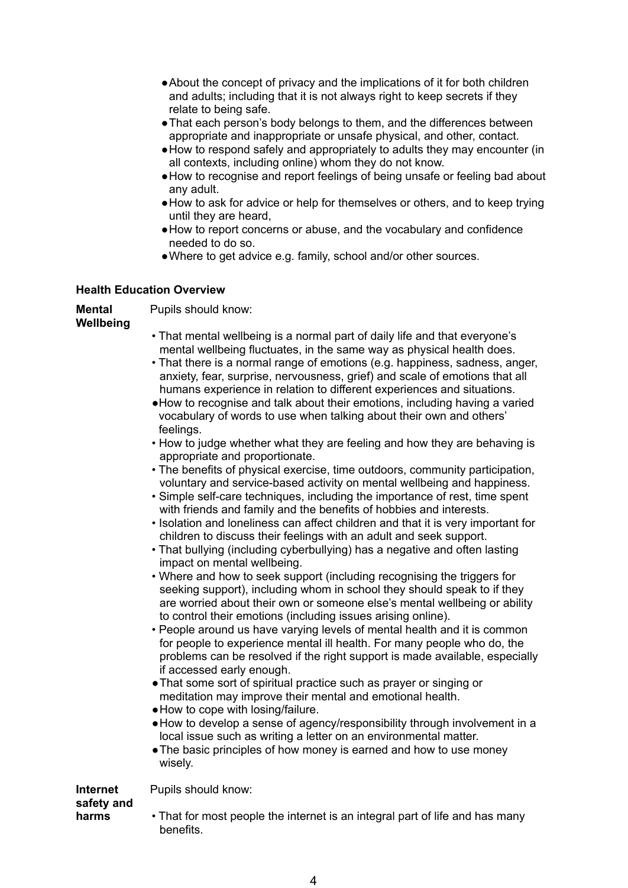- ●About the concept of privacy and the implications of it for both children and adults; including that it is not always right to keep secrets if they relate to being safe.
- That each person's body belongs to them, and the differences between appropriate and inappropriate or unsafe physical, and other, contact.
- ●How to respond safely and appropriately to adults they may encounter (in all contexts, including online) whom they do not know.
- ●How to recognise and report feelings of being unsafe or feeling bad about any adult.
- ●How to ask for advice or help for themselves or others, and to keep trying until they are heard,
- ●How to report concerns or abuse, and the vocabulary and confidence needed to do so.
- ●Where to get advice e.g. family, school and/or other sources.

#### **Health Education Overview**

**Mental Wellbeing** Pupils should know:

- That mental wellbeing is a normal part of daily life and that everyone's mental wellbeing fluctuates, in the same way as physical health does.
- That there is a normal range of emotions (e.g. happiness, sadness, anger, anxiety, fear, surprise, nervousness, grief) and scale of emotions that all humans experience in relation to different experiences and situations.
- ●How to recognise and talk about their emotions, including having a varied vocabulary of words to use when talking about their own and others' feelings.
- How to judge whether what they are feeling and how they are behaving is appropriate and proportionate.
- The benefits of physical exercise, time outdoors, community participation, voluntary and service-based activity on mental wellbeing and happiness.
- Simple self-care techniques, including the importance of rest, time spent with friends and family and the benefits of hobbies and interests.
- Isolation and loneliness can affect children and that it is very important for children to discuss their feelings with an adult and seek support.
- That bullying (including cyberbullying) has a negative and often lasting impact on mental wellbeing.
- Where and how to seek support (including recognising the triggers for seeking support), including whom in school they should speak to if they are worried about their own or someone else's mental wellbeing or ability to control their emotions (including issues arising online).
- People around us have varying levels of mental health and it is common for people to experience mental ill health. For many people who do, the problems can be resolved if the right support is made available, especially if accessed early enough.
- ●That some sort of spiritual practice such as prayer or singing or meditation may improve their mental and emotional health.
- ●How to cope with losing/failure.
- ●How to develop a sense of agency/responsibility through involvement in a local issue such as writing a letter on an environmental matter.
- The basic principles of how money is earned and how to use money wisely.

**Internet safety and** Pupils should know:

**harms**

• That for most people the internet is an integral part of life and has many benefits.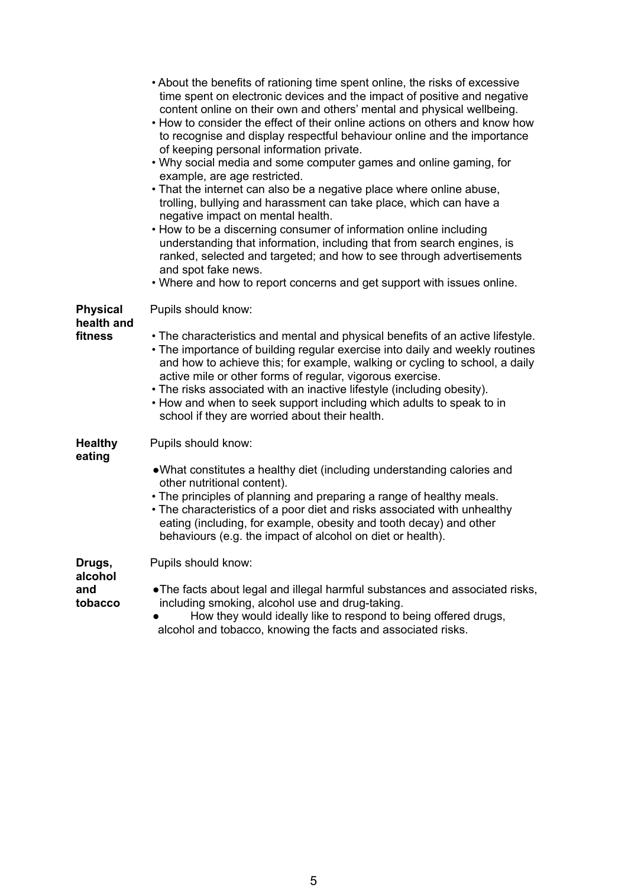|                               | • About the benefits of rationing time spent online, the risks of excessive<br>time spent on electronic devices and the impact of positive and negative<br>content online on their own and others' mental and physical wellbeing.<br>. How to consider the effect of their online actions on others and know how<br>to recognise and display respectful behaviour online and the importance<br>of keeping personal information private.<br>. Why social media and some computer games and online gaming, for<br>example, are age restricted.<br>• That the internet can also be a negative place where online abuse,<br>trolling, bullying and harassment can take place, which can have a<br>negative impact on mental health.<br>• How to be a discerning consumer of information online including<br>understanding that information, including that from search engines, is<br>ranked, selected and targeted; and how to see through advertisements<br>and spot fake news.<br>. Where and how to report concerns and get support with issues online. |
|-------------------------------|---------------------------------------------------------------------------------------------------------------------------------------------------------------------------------------------------------------------------------------------------------------------------------------------------------------------------------------------------------------------------------------------------------------------------------------------------------------------------------------------------------------------------------------------------------------------------------------------------------------------------------------------------------------------------------------------------------------------------------------------------------------------------------------------------------------------------------------------------------------------------------------------------------------------------------------------------------------------------------------------------------------------------------------------------------|
| <b>Physical</b><br>health and | Pupils should know:                                                                                                                                                                                                                                                                                                                                                                                                                                                                                                                                                                                                                                                                                                                                                                                                                                                                                                                                                                                                                                     |
| fitness                       | • The characteristics and mental and physical benefits of an active lifestyle.<br>• The importance of building regular exercise into daily and weekly routines<br>and how to achieve this; for example, walking or cycling to school, a daily<br>active mile or other forms of regular, vigorous exercise.<br>• The risks associated with an inactive lifestyle (including obesity).<br>. How and when to seek support including which adults to speak to in<br>school if they are worried about their health.                                                                                                                                                                                                                                                                                                                                                                                                                                                                                                                                          |
| <b>Healthy</b><br>eating      | Pupils should know:                                                                                                                                                                                                                                                                                                                                                                                                                                                                                                                                                                                                                                                                                                                                                                                                                                                                                                                                                                                                                                     |
|                               | • What constitutes a healthy diet (including understanding calories and<br>other nutritional content).<br>• The principles of planning and preparing a range of healthy meals.<br>• The characteristics of a poor diet and risks associated with unhealthy<br>eating (including, for example, obesity and tooth decay) and other<br>behaviours (e.g. the impact of alcohol on diet or health).                                                                                                                                                                                                                                                                                                                                                                                                                                                                                                                                                                                                                                                          |
| Drugs,<br>alcohol             | Pupils should know:                                                                                                                                                                                                                                                                                                                                                                                                                                                                                                                                                                                                                                                                                                                                                                                                                                                                                                                                                                                                                                     |
| and<br>tobacco                | • The facts about legal and illegal harmful substances and associated risks,<br>including smoking, alcohol use and drug-taking.<br>How they would ideally like to respond to being offered drugs,<br>alcohol and tobacco, knowing the facts and associated risks.                                                                                                                                                                                                                                                                                                                                                                                                                                                                                                                                                                                                                                                                                                                                                                                       |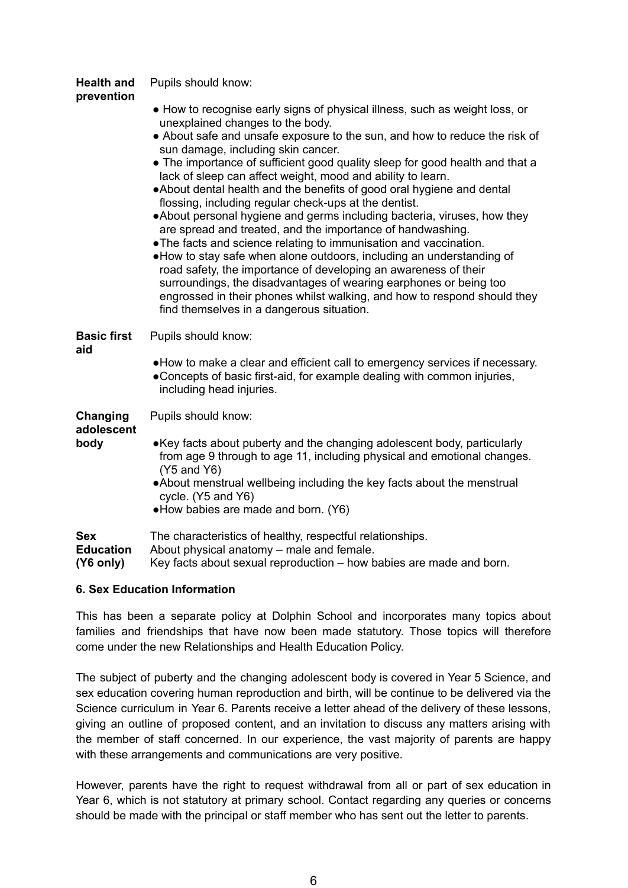| <b>Health and</b><br>prevention | Pupils should know:                                                                                                                                                                                                                                                                                                                                                                                         |
|---------------------------------|-------------------------------------------------------------------------------------------------------------------------------------------------------------------------------------------------------------------------------------------------------------------------------------------------------------------------------------------------------------------------------------------------------------|
|                                 | • How to recognise early signs of physical illness, such as weight loss, or<br>unexplained changes to the body.                                                                                                                                                                                                                                                                                             |
|                                 | • About safe and unsafe exposure to the sun, and how to reduce the risk of<br>sun damage, including skin cancer.                                                                                                                                                                                                                                                                                            |
|                                 | • The importance of sufficient good quality sleep for good health and that a<br>lack of sleep can affect weight, mood and ability to learn.                                                                                                                                                                                                                                                                 |
|                                 | . About dental health and the benefits of good oral hygiene and dental<br>flossing, including regular check-ups at the dentist.                                                                                                                                                                                                                                                                             |
|                                 | . About personal hygiene and germs including bacteria, viruses, how they<br>are spread and treated, and the importance of handwashing.                                                                                                                                                                                                                                                                      |
|                                 | • The facts and science relating to immunisation and vaccination.<br>. How to stay safe when alone outdoors, including an understanding of<br>road safety, the importance of developing an awareness of their<br>surroundings, the disadvantages of wearing earphones or being too<br>engrossed in their phones whilst walking, and how to respond should they<br>find themselves in a dangerous situation. |
| <b>Basic first</b><br>aid       | Pupils should know:                                                                                                                                                                                                                                                                                                                                                                                         |
|                                 | • How to make a clear and efficient call to emergency services if necessary.<br>• Concepts of basic first-aid, for example dealing with common injuries,<br>including head injuries.                                                                                                                                                                                                                        |
| Changing<br>adolescent          | Pupils should know:                                                                                                                                                                                                                                                                                                                                                                                         |
| body                            | •Key facts about puberty and the changing adolescent body, particularly<br>from age 9 through to age 11, including physical and emotional changes.<br>$(Y5$ and $Y6)$                                                                                                                                                                                                                                       |
|                                 | •About menstrual wellbeing including the key facts about the menstrual<br>cycle. (Y5 and Y6)<br>• How babies are made and born. (Y6)                                                                                                                                                                                                                                                                        |
|                                 |                                                                                                                                                                                                                                                                                                                                                                                                             |
| <b>Sex</b><br><b>Education</b>  | The characteristics of healthy, respectful relationships.<br>About physical anatomy – male and female.                                                                                                                                                                                                                                                                                                      |
| (Y6 only)                       | Key facts about sexual reproduction - how babies are made and born.                                                                                                                                                                                                                                                                                                                                         |

### **6. Sex Education Information**

This has been a separate policy at Dolphin School and incorporates many topics about families and friendships that have now been made statutory. Those topics will therefore come under the new Relationships and Health Education Policy.

The subject of puberty and the changing adolescent body is covered in Year 5 Science, and sex education covering human reproduction and birth, will be continue to be delivered via the Science curriculum in Year 6. Parents receive a letter ahead of the delivery of these lessons, giving an outline of proposed content, and an invitation to discuss any matters arising with the member of staff concerned. In our experience, the vast majority of parents are happy with these arrangements and communications are very positive.

However, parents have the right to request withdrawal from all or part of sex education in Year 6, which is not statutory at primary school. Contact regarding any queries or concerns should be made with the principal or staff member who has sent out the letter to parents.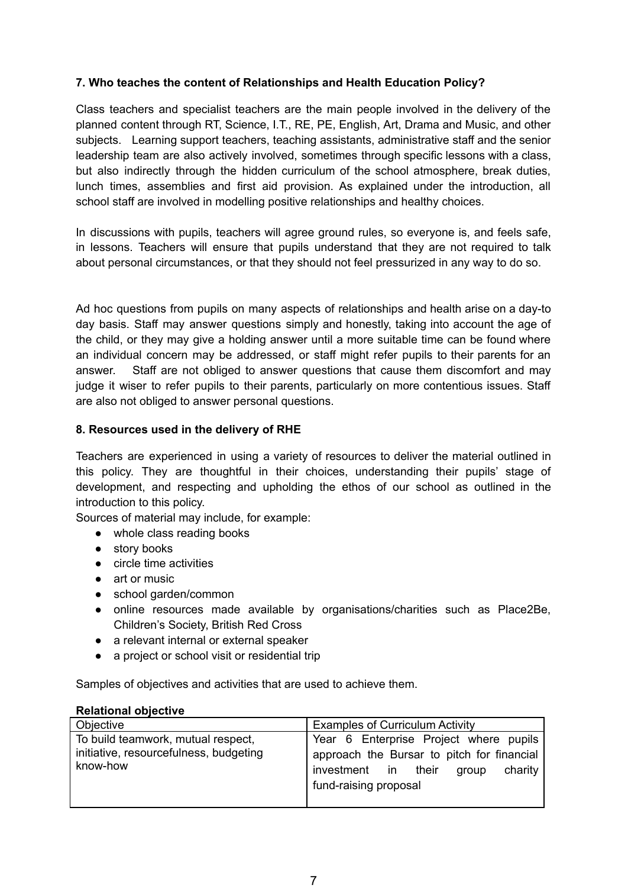## **7. Who teaches the content of Relationships and Health Education Policy?**

Class teachers and specialist teachers are the main people involved in the delivery of the planned content through RT, Science, I.T., RE, PE, English, Art, Drama and Music, and other subjects. Learning support teachers, teaching assistants, administrative staff and the senior leadership team are also actively involved, sometimes through specific lessons with a class, but also indirectly through the hidden curriculum of the school atmosphere, break duties, lunch times, assemblies and first aid provision. As explained under the introduction, all school staff are involved in modelling positive relationships and healthy choices.

In discussions with pupils, teachers will agree ground rules, so everyone is, and feels safe, in lessons. Teachers will ensure that pupils understand that they are not required to talk about personal circumstances, or that they should not feel pressurized in any way to do so.

Ad hoc questions from pupils on many aspects of relationships and health arise on a day-to day basis. Staff may answer questions simply and honestly, taking into account the age of the child, or they may give a holding answer until a more suitable time can be found where an individual concern may be addressed, or staff might refer pupils to their parents for an answer. Staff are not obliged to answer questions that cause them discomfort and may judge it wiser to refer pupils to their parents, particularly on more contentious issues. Staff are also not obliged to answer personal questions.

## **8. Resources used in the delivery of RHE**

Teachers are experienced in using a variety of resources to deliver the material outlined in this policy. They are thoughtful in their choices, understanding their pupils' stage of development, and respecting and upholding the ethos of our school as outlined in the introduction to this policy.

Sources of material may include, for example:

- whole class reading books
- story books
- circle time activities
- art or music
- school garden/common
- online resources made available by organisations/charities such as Place2Be, Children's Society, British Red Cross
- a relevant internal or external speaker
- a project or school visit or residential trip

Samples of objectives and activities that are used to achieve them.

| Objective                                                                    | <b>Examples of Curriculum Activity</b>                                               |
|------------------------------------------------------------------------------|--------------------------------------------------------------------------------------|
| To build teamwork, mutual respect,<br>initiative, resourcefulness, budgeting | Year 6 Enterprise Project where pupils<br>approach the Bursar to pitch for financial |
| know-how                                                                     | in their<br>charity<br>investment<br>group<br>fund-raising proposal                  |
|                                                                              |                                                                                      |

### **Relational objective**